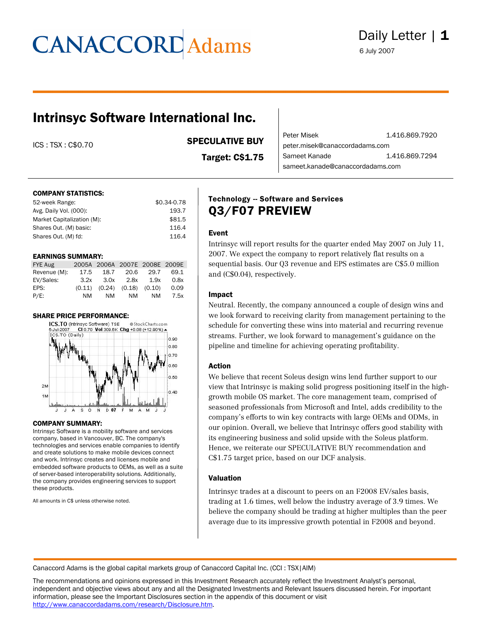### Intrinsyc Software International Inc.

ICS : TSX : C\$0.70 SPECULATIVE BUY

Target: C\$1.75

Peter Misek<br>
1.416.869.7920 peter.misek@canaccordadams.com **Sameet Kanade** 1.416.869.7294 sameet.kanade@canaccordadams.com

#### COMPANY STATISTICS:

| 52-week Range:             | \$0.34-0.78 |
|----------------------------|-------------|
| Avg. Daily Vol. (000):     | 193.7       |
| Market Capitalization (M): | \$81.5      |
| Shares Out. (M) basic:     | 116.4       |
| Shares Out. (M) fd:        | 116.4       |
|                            |             |

#### EARNINGS SUMMARY:

| FYE Aug      |      | 2005A 2006A 2007E 2008E 2009E       |           |      |      |
|--------------|------|-------------------------------------|-----------|------|------|
| Revenue (M): | 17.5 |                                     | 18.7 20.6 | 29.7 | 69.1 |
| EV/Sales:    | 3.2x |                                     | 3.0x 2.8x | 1.9x | 0.8x |
| EPS:         |      | $(0.11)$ $(0.24)$ $(0.18)$ $(0.10)$ |           |      | 0.09 |
| $P/E$ :      | NM   | NM                                  | NM        | NM.  | 7.5x |

#### SHARE PRICE PERFORMANCE:



#### COMPANY SUMMARY:

Intrinsyc Software is a mobility software and services company, based in Vancouver, BC. The company's technologies and services enable companies to identify and create solutions to make mobile devices connect and work. Intrinsyc creates and licenses mobile and embedded software products to OEMs, as well as a suite of server-based interoperability solutions. Additionally, the company provides engineering services to support these products.

All amounts in C\$ unless otherwise noted.

### **Technology -- Software and Services** Q3/F07 PREVIEW

#### Event

Intrinsyc will report results for the quarter ended May 2007 on July 11, 2007. We expect the company to report relatively flat results on a sequential basis. Our Q3 revenue and EPS estimates are C\$5.0 million and (C\$0.04), respectively.

#### Impact

Neutral. Recently, the company announced a couple of design wins and we look forward to receiving clarity from management pertaining to the schedule for converting these wins into material and recurring revenue streams. Further, we look forward to management's guidance on the pipeline and timeline for achieving operating profitability.

#### Action

We believe that recent Soleus design wins lend further support to our view that Intrinsyc is making solid progress positioning itself in the highgrowth mobile OS market. The core management team, comprised of seasoned professionals from Microsoft and Intel, adds credibility to the company's efforts to win key contracts with large OEMs and ODMs, in our opinion. Overall, we believe that Intrinsyc offers good stability with its engineering business and solid upside with the Soleus platform. Hence, we reiterate our SPECULATIVE BUY recommendation and C\$1.75 target price, based on our DCF analysis.

#### Valuation

Intrinsyc trades at a discount to peers on an F2008 EV/sales basis, trading at 1.6 times, well below the industry average of 3.9 times. We believe the company should be trading at higher multiples than the peer average due to its impressive growth potential in F2008 and beyond.

**Canaccord Adams is the global capital markets group of Canaccord Capital Inc. (CCI : TSX|AIM)**

**The recommendations and opinions expressed in this Investment Research accurately reflect the Investment Analyst's personal, independent and objective views about any and all the Designated Investments and Relevant Issuers discussed herein. For important information, please see the Important Disclosures section in the appendix of this document or visit http://www.canaccordadams.com/research/Disclosure.htm.**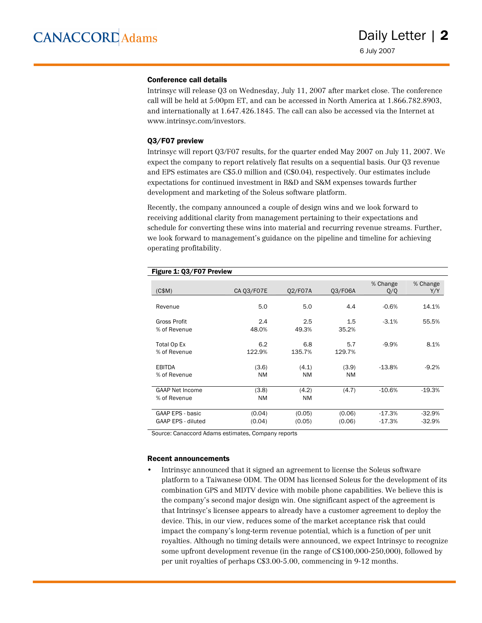#### Conference call details

Intrinsyc will release Q3 on Wednesday, July 11, 2007 after market close. The conference call will be held at 5:00pm ET, and can be accessed in North America at 1.866.782.8903, and internationally at 1.647.426.1845. The call can also be accessed via the Internet at www.intrinsyc.com/investors.

#### Q3/F07 preview

Intrinsyc will report Q3/F07 results, for the quarter ended May 2007 on July 11, 2007. We expect the company to report relatively flat results on a sequential basis. Our Q3 revenue and EPS estimates are C\$5.0 million and (C\$0.04), respectively. Our estimates include expectations for continued investment in R&D and S&M expenses towards further development and marketing of the Soleus software platform.

Recently, the company announced a couple of design wins and we look forward to receiving additional clarity from management pertaining to their expectations and schedule for converting these wins into material and recurring revenue streams. Further, we look forward to management's guidance on the pipeline and timeline for achieving operating profitability.

| (C\$M)                                 | CA Q3/F07E         | 02/F07A            | 03/F06A            | % Change<br>Q/Q      | % Change<br>Y/Y      |
|----------------------------------------|--------------------|--------------------|--------------------|----------------------|----------------------|
| Revenue                                | 5.0                | 5.0                | 4.4                | $-0.6%$              | 14.1%                |
| Gross Profit<br>% of Revenue           | 2.4<br>48.0%       | 2.5<br>49.3%       | 1.5<br>35.2%       | $-3.1%$              | 55.5%                |
| Total Op Ex<br>% of Revenue            | 6.2<br>122.9%      | 6.8<br>135.7%      | 5.7<br>129.7%      | $-9.9%$              | 8.1%                 |
| <b>EBITDA</b><br>% of Revenue          | (3.6)<br>NM        | (4.1)<br><b>NM</b> | (3.9)<br><b>NM</b> | $-13.8%$             | $-9.2%$              |
| <b>GAAP Net Income</b><br>% of Revenue | (3.8)<br><b>NM</b> | (4.2)<br><b>NM</b> | (4.7)              | $-10.6%$             | $-19.3%$             |
| GAAP EPS - basic<br>GAAP EPS - diluted | (0.04)<br>(0.04)   | (0.05)<br>(0.05)   | (0.06)<br>(0.06)   | $-17.3%$<br>$-17.3%$ | $-32.9%$<br>$-32.9%$ |

#### Figure 1: Q3/F07 Preview

Source: Canaccord Adams estimates, Company reports

#### Recent announcements

• Intrinsyc announced that it signed an agreement to license the Soleus software platform to a Taiwanese ODM. The ODM has licensed Soleus for the development of its combination GPS and MDTV device with mobile phone capabilities. We believe this is the company's second major design win. One significant aspect of the agreement is that Intrinsyc's licensee appears to already have a customer agreement to deploy the device. This, in our view, reduces some of the market acceptance risk that could impact the company's long-term revenue potential, which is a function of per unit royalties. Although no timing details were announced, we expect Intrinsyc to recognize some upfront development revenue (in the range of C\$100,000-250,000), followed by per unit royalties of perhaps C\$3.00-5.00, commencing in 9-12 months.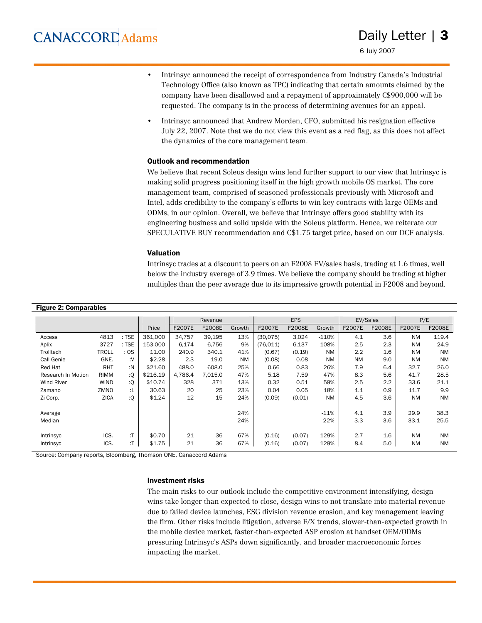6 July 2007

- Intrinsyc announced the receipt of correspondence from Industry Canada's Industrial Technology Office (also known as TPC) indicating that certain amounts claimed by the company have been disallowed and a repayment of approximately C\$900,000 will be requested. The company is in the process of determining avenues for an appeal.
- Intrinsyc announced that Andrew Morden, CFO, submitted his resignation effective July 22, 2007. Note that we do not view this event as a red flag, as this does not affect the dynamics of the core management team.

#### Outlook and recommendation

We believe that recent Soleus design wins lend further support to our view that Intrinsyc is making solid progress positioning itself in the high growth mobile OS market. The core management team, comprised of seasoned professionals previously with Microsoft and Intel, adds credibility to the company's efforts to win key contracts with large OEMs and ODMs, in our opinion. Overall, we believe that Intrinsyc offers good stability with its engineering business and solid upside with the Soleus platform. Hence, we reiterate our SPECULATIVE BUY recommendation and C\$1.75 target price, based on our DCF analysis.

#### Valuation

Intrinsyc trades at a discount to peers on an F2008 EV/sales basis, trading at 1.6 times, well below the industry average of 3.9 times. We believe the company should be trading at higher multiples than the peer average due to its impressive growth potential in F2008 and beyond.

| <b>Figure 2: Comparables</b> |              |         |          |         |         |           |          |            |           |           |        |           |           |
|------------------------------|--------------|---------|----------|---------|---------|-----------|----------|------------|-----------|-----------|--------|-----------|-----------|
|                              |              |         |          |         | Revenue |           |          | <b>EPS</b> |           | EV/Sales  |        | P/E       |           |
|                              |              |         | Price    | F2007E  | F2008E  | Growth    | F2007E   | F2008E     | Growth    | F2007E    | F2008E | F2007E    | F2008E    |
| Access                       | 4813         | $:$ TSE | 361,000  | 34,757  | 39,195  | 13%       | (30,075) | 3,024      | $-110%$   | 4.1       | 3.6    | <b>NM</b> | 119.4     |
| Aplix                        | 3727         | $:$ TSE | 153.000  | 6,174   | 6,756   | 9%        | (76.011) | 6,137      | $-108%$   | 2.5       | 2.3    | <b>NM</b> | 24.9      |
| Trolltech                    | <b>TROLL</b> | :OS     | 11.00    | 240.9   | 340.1   | 41%       | (0.67)   | (0.19)     | <b>NM</b> | 2.2       | 1.6    | <b>NM</b> | <b>NM</b> |
| Call Genie                   | GNE.         | ٠٧.     | \$2.28   | 2.3     | 19.0    | <b>NM</b> | (0.08)   | 0.08       | <b>NM</b> | <b>NM</b> | 9.0    | <b>NM</b> | <b>NM</b> |
| Red Hat                      | RHT          | :N      | \$21.60  | 488.0   | 608.0   | 25%       | 0.66     | 0.83       | 26%       | 7.9       | 6.4    | 32.7      | 26.0      |
| Research In Motion           | <b>RIMM</b>  | :Q      | \$216.19 | 4.786.4 | 7.015.0 | 47%       | 5.18     | 7.59       | 47%       | 8.3       | 5.6    | 41.7      | 28.5      |
| <b>Wind River</b>            | <b>WIND</b>  | :Q      | \$10.74  | 328     | 371     | 13%       | 0.32     | 0.51       | 59%       | 2.5       | 2.2    | 33.6      | 21.1      |
| Zamano                       | ZMNO         | :L      | 30.63    | 20      | 25      | 23%       | 0.04     | 0.05       | 18%       | 1.1       | 0.9    | 11.7      | 9.9       |
| Zi Corp.                     | <b>ZICA</b>  | :Q      | \$1.24   | 12      | 15      | 24%       | (0.09)   | (0.01)     | <b>NM</b> | 4.5       | 3.6    | <b>NM</b> | <b>NM</b> |
|                              |              |         |          |         |         |           |          |            |           |           |        |           |           |
| Average                      |              |         |          |         |         | 24%       |          |            | $-11%$    | 4.1       | 3.9    | 29.9      | 38.3      |
| Median                       |              |         |          |         |         | 24%       |          |            | 22%       | 3.3       | 3.6    | 33.1      | 25.5      |
|                              |              |         |          |         |         |           |          |            |           |           |        |           |           |
| Intrinsyc                    | ICS.         | :Т      | \$0.70   | 21      | 36      | 67%       | (0.16)   | (0.07)     | 129%      | 2.7       | 1.6    | <b>NM</b> | <b>NM</b> |
| Intrinsyc                    | ICS.         | :T      | \$1.75   | 21      | 36      | 67%       | (0.16)   | (0.07)     | 129%      | 8.4       | 5.0    | <b>NM</b> | <b>NM</b> |

Source: Company reports, Bloomberg, Thomson ONE, Canaccord Adams

#### Investment risks

The main risks to our outlook include the competitive environment intensifying, design wins take longer than expected to close, design wins to not translate into material revenue due to failed device launches, ESG division revenue erosion, and key management leaving the firm. Other risks include litigation, adverse F/X trends, slower-than-expected growth in the mobile device market, faster-than-expected ASP erosion at handset OEM/ODMs pressuring Intrinsyc's ASPs down significantly, and broader macroeconomic forces impacting the market.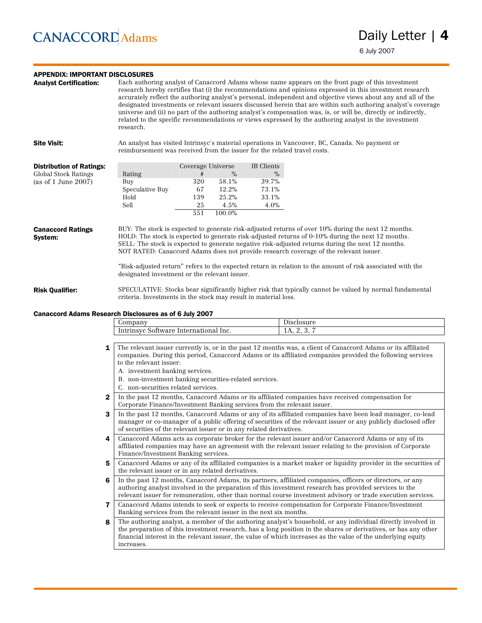#### APPENDIX: IMPORTANT DISCLOSURES

Analyst Certification: Each authoring analyst of Canaccord Adams whose name appears on the front page of this investment research hereby certifies that (i) the recommendations and opinions expressed in this investment research accurately reflect the authoring analyst's personal, independent and objective views about any and all of the designated investments or relevant issuers discussed herein that are within such authoring analyst's coverage universe and (ii) no part of the authoring analyst's compensation was, is, or will be, directly or indirectly, related to the specific recommendations or views expressed by the authoring analyst in the investment research.

Site Visit: An analyst has visited Intrinsyc's material operations in Vancouver, BC, Canada. No payment or reimbursement was received from the issuer for the related travel costs.

| <b>Distribution of Ratings:</b> |                 | Coverage Universe |        | IB Clients |
|---------------------------------|-----------------|-------------------|--------|------------|
| Global Stock Ratings            | Rating          | #                 | $\%$   | $\%$       |
| (as of 1 June 2007)             | Buy             | 320               | 58.1%  | 39.7%      |
|                                 | Speculative Buy | 67                | 12.2%  | 73.1%      |
|                                 | Hold            | 139               | 25.2%  | 33.1%      |
|                                 | Sell            | 25                | 4.5%   | 4.0%       |
|                                 |                 | 551               | 100.0% |            |

Canaccord Ratings System: **BUY:** The stock is expected to generate risk-adjusted returns of over 10% during the next 12 months. **HOLD:** The stock is expected to generate risk-adjusted returns of 0-10% during the next 12 months. **SELL:** The stock is expected to generate negative risk-adjusted returns during the next 12 months. **NOT RATED:** Canaccord Adams does not provide research coverage of the relevant issuer.

> "Risk-adjusted return" refers to the expected return in relation to the amount of risk associated with the designated investment or the relevant issuer.

Risk Qualifier: **SPECULATIVE:** Stocks bear significantly higher risk that typically cannot be valued by normal fundamental criteria. Investments in the stock may result in material loss.

#### Canaccord Adams Research Disclosures as of 6 July 2007

| лпрап                                                                                                   | $\sim$ $\sim$       |
|---------------------------------------------------------------------------------------------------------|---------------------|
| $\overline{\phantom{a}}$<br>Inc.<br>$.1 \text{eV}$<br>turr<br>ם לדר ב<br>าลเ<br>. a r<br>' W<br>יי<br>u | - -<br>$\cdot$<br>. |

- 1 The relevant issuer currently is, or in the past 12 months was, a client of Canaccord Adams or its affiliated companies. During this period, Canaccord Adams or its affiliated companies provided the following services to the relevant issuer:
	- A. investment banking services.
	- B. non-investment banking securities-related services.
	- C. non-securities related services.
- 2 In the past 12 months, Canaccord Adams or its affiliated companies have received compensation for Corporate Finance/Investment Banking services from the relevant issuer.
- 3 In the past 12 months, Canaccord Adams or any of its affiliated companies have been lead manager, co-lead manager or co-manager of a public offering of securities of the relevant issuer or any publicly disclosed offer of securities of the relevant issuer or in any related derivatives.
- 4 Canaccord Adams acts as corporate broker for the relevant issuer and/or Canaccord Adams or any of its affiliated companies may have an agreement with the relevant issuer relating to the provision of Corporate Finance/Investment Banking services.
- 5 Canaccord Adams or any of its affiliated companies is a market maker or liquidity provider in the securities of the relevant issuer or in any related derivatives.
- 6 In the past 12 months, Canaccord Adams, its partners, affiliated companies, officers or directors, or any authoring analyst involved in the preparation of this investment research has provided services to the relevant issuer for remuneration, other than normal course investment advisory or trade execution services.
- 7 Canaccord Adams intends to seek or expects to receive compensation for Corporate Finance/Investment Banking services from the relevant issuer in the next six months.

8 The authoring analyst, a member of the authoring analyst's household, or any individual directly involved in the preparation of this investment research, has a long position in the shares or derivatives, or has any other financial interest in the relevant issuer, the value of which increases as the value of the underlying equity increases.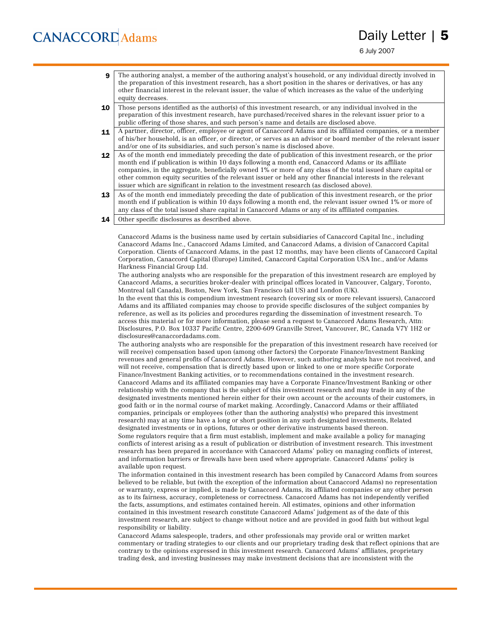6 July 2007

- 9 The authoring analyst, a member of the authoring analyst's household, or any individual directly involved in the preparation of this investment research, has a short position in the shares or derivatives, or has any other financial interest in the relevant issuer, the value of which increases as the value of the underlying equity decreases.
- 10 Those persons identified as the author(s) of this investment research, or any individual involved in the preparation of this investment research, have purchased/received shares in the relevant issuer prior to a public offering of those shares, and such person's name and details are disclosed above.
- 11 A partner, director, officer, employee or agent of Canaccord Adams and its affiliated companies, or a member of his/her household, is an officer, or director, or serves as an advisor or board member of the relevant issuer and/or one of its subsidiaries, and such person's name is disclosed above.
- 12 As of the month end immediately preceding the date of publication of this investment research, or the prior month end if publication is within 10 days following a month end, Canaccord Adams or its affiliate companies, in the aggregate, beneficially owned 1% or more of any class of the total issued share capital or other common equity securities of the relevant issuer or held any other financial interests in the relevant issuer which are significant in relation to the investment research (as disclosed above).
- 13 As of the month end immediately preceding the date of publication of this investment research, or the prior month end if publication is within 10 days following a month end, the relevant issuer owned 1% or more of any class of the total issued share capital in Canaccord Adams or any of its affiliated companies.
- 14 Other specific disclosures as described above.

Canaccord Adams is the business name used by certain subsidiaries of Canaccord Capital Inc., including Canaccord Adams Inc., Canaccord Adams Limited, and Canaccord Adams, a division of Canaccord Capital Corporation. Clients of Canaccord Adams, in the past 12 months, may have been clients of Canaccord Capital Corporation, Canaccord Capital (Europe) Limited, Canaccord Capital Corporation USA Inc., and/or Adams Harkness Financial Group Ltd.

The authoring analysts who are responsible for the preparation of this investment research are employed by Canaccord Adams, a securities broker-dealer with principal offices located in Vancouver, Calgary, Toronto, Montreal (all Canada), Boston, New York, San Francisco (all US) and London (UK).

In the event that this is compendium investment research (covering six or more relevant issuers), Canaccord Adams and its affiliated companies may choose to provide specific disclosures of the subject companies by reference, as well as its policies and procedures regarding the dissemination of investment research. To access this material or for more information, please send a request to Canaccord Adams Research, Attn: Disclosures, P.O. Box 10337 Pacific Centre, 2200-609 Granville Street, Vancouver, BC, Canada V7Y 1H2 or disclosures@canaccordadams.com.

The authoring analysts who are responsible for the preparation of this investment research have received (or will receive) compensation based upon (among other factors) the Corporate Finance/Investment Banking revenues and general profits of Canaccord Adams. However, such authoring analysts have not received, and will not receive, compensation that is directly based upon or linked to one or more specific Corporate Finance/Investment Banking activities, or to recommendations contained in the investment research. Canaccord Adams and its affiliated companies may have a Corporate Finance/Investment Banking or other relationship with the company that is the subject of this investment research and may trade in any of the designated investments mentioned herein either for their own account or the accounts of their customers, in good faith or in the normal course of market making. Accordingly, Canaccord Adams or their affiliated companies, principals or employees (other than the authoring analyst(s) who prepared this investment research) may at any time have a long or short position in any such designated investments, Related designated investments or in options, futures or other derivative instruments based thereon. Some regulators require that a firm must establish, implement and make available a policy for managing conflicts of interest arising as a result of publication or distribution of investment research. This investment research has been prepared in accordance with Canaccord Adams' policy on managing conflicts of interest, and information barriers or firewalls have been used where appropriate. Canaccord Adams' policy is available upon request.

The information contained in this investment research has been compiled by Canaccord Adams from sources believed to be reliable, but (with the exception of the information about Canaccord Adams) no representation or warranty, express or implied, is made by Canaccord Adams, its affiliated companies or any other person as to its fairness, accuracy, completeness or correctness. Canaccord Adams has not independently verified the facts, assumptions, and estimates contained herein. All estimates, opinions and other information contained in this investment research constitute Canaccord Adams' judgement as of the date of this investment research, are subject to change without notice and are provided in good faith but without legal responsibility or liability.

Canaccord Adams salespeople, traders, and other professionals may provide oral or written market commentary or trading strategies to our clients and our proprietary trading desk that reflect opinions that are contrary to the opinions expressed in this investment research. Canaccord Adams' affiliates, proprietary trading desk, and investing businesses may make investment decisions that are inconsistent with the